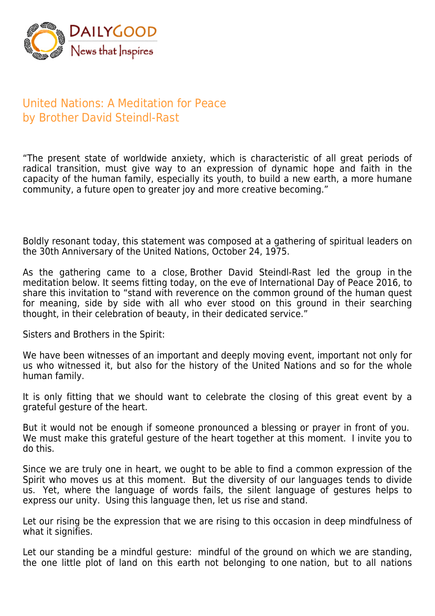

## United Nations: A Meditation for Peace by Brother David Steindl-Rast

"The present state of worldwide anxiety, which is characteristic of all great periods of radical transition, must give way to an expression of dynamic hope and faith in the capacity of the human family, especially its youth, to build a new earth, a more humane community, a future open to greater joy and more creative becoming."

Boldly resonant today, this statement was composed at a gathering of spiritual leaders on the 30th Anniversary of the United Nations, October 24, 1975.

As the gathering came to a close, Brother David Steindl-Rast led the group in the meditation below. It seems fitting today, on the eve of International Day of Peace 2016, to share this invitation to "stand with reverence on the common ground of the human quest for meaning, side by side with all who ever stood on this ground in their searching thought, in their celebration of beauty, in their dedicated service."

Sisters and Brothers in the Spirit:

We have been witnesses of an important and deeply moving event, important not only for us who witnessed it, but also for the history of the United Nations and so for the whole human family.

It is only fitting that we should want to celebrate the closing of this great event by a grateful gesture of the heart.

But it would not be enough if someone pronounced a blessing or prayer in front of you. We must make this grateful gesture of the heart together at this moment. I invite you to do this.

Since we are truly one in heart, we ought to be able to find a common expression of the Spirit who moves us at this moment. But the diversity of our languages tends to divide us. Yet, where the language of words fails, the silent language of gestures helps to express our unity. Using this language then, let us rise and stand.

Let our rising be the expression that we are rising to this occasion in deep mindfulness of what it signifies.

Let our standing be a mindful gesture: mindful of the ground on which we are standing, the one little plot of land on this earth not belonging to one nation, but to all nations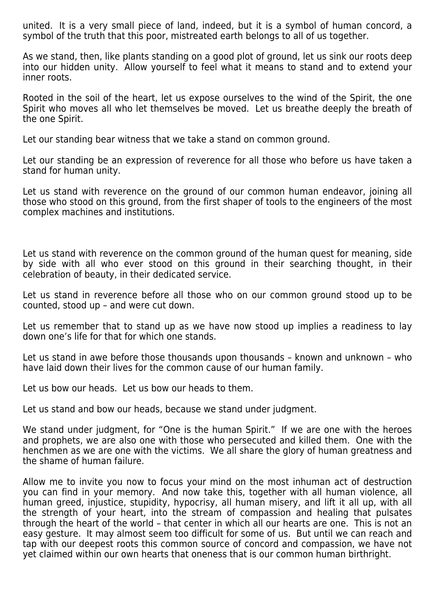united. It is a very small piece of land, indeed, but it is a symbol of human concord, a symbol of the truth that this poor, mistreated earth belongs to all of us together.

As we stand, then, like plants standing on a good plot of ground, let us sink our roots deep into our hidden unity. Allow yourself to feel what it means to stand and to extend your inner roots.

Rooted in the soil of the heart, let us expose ourselves to the wind of the Spirit, the one Spirit who moves all who let themselves be moved. Let us breathe deeply the breath of the one Spirit.

Let our standing bear witness that we take a stand on common ground.

Let our standing be an expression of reverence for all those who before us have taken a stand for human unity.

Let us stand with reverence on the ground of our common human endeavor, joining all those who stood on this ground, from the first shaper of tools to the engineers of the most complex machines and institutions.

Let us stand with reverence on the common ground of the human quest for meaning, side by side with all who ever stood on this ground in their searching thought, in their celebration of beauty, in their dedicated service.

Let us stand in reverence before all those who on our common ground stood up to be counted, stood up – and were cut down.

Let us remember that to stand up as we have now stood up implies a readiness to lay down one's life for that for which one stands.

Let us stand in awe before those thousands upon thousands – known and unknown – who have laid down their lives for the common cause of our human family.

Let us bow our heads. Let us bow our heads to them.

Let us stand and bow our heads, because we stand under judgment.

We stand under judgment, for "One is the human Spirit." If we are one with the heroes and prophets, we are also one with those who persecuted and killed them. One with the henchmen as we are one with the victims. We all share the glory of human greatness and the shame of human failure.

Allow me to invite you now to focus your mind on the most inhuman act of destruction you can find in your memory. And now take this, together with all human violence, all human greed, injustice, stupidity, hypocrisy, all human misery, and lift it all up, with all the strength of your heart, into the stream of compassion and healing that pulsates through the heart of the world – that center in which all our hearts are one. This is not an easy gesture. It may almost seem too difficult for some of us. But until we can reach and tap with our deepest roots this common source of concord and compassion, we have not yet claimed within our own hearts that oneness that is our common human birthright.